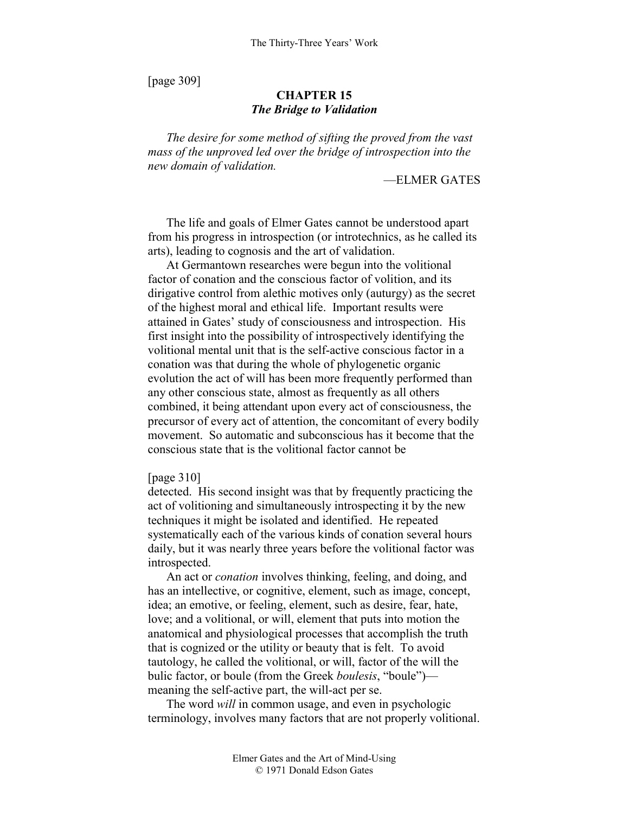[page 309]

# **CHAPTER 15**  *The Bridge to Validation*

*The desire for some method of sifting the proved from the vast mass of the unproved led over the bridge of introspection into the new domain of validation.* 

## —ELMER GATES

The life and goals of Elmer Gates cannot be understood apart from his progress in introspection (or introtechnics, as he called its arts), leading to cognosis and the art of validation.

At Germantown researches were begun into the volitional factor of conation and the conscious factor of volition, and its dirigative control from alethic motives only (auturgy) as the secret of the highest moral and ethical life. Important results were attained in Gates' study of consciousness and introspection. His first insight into the possibility of introspectively identifying the volitional mental unit that is the self-active conscious factor in a conation was that during the whole of phylogenetic organic evolution the act of will has been more frequently performed than any other conscious state, almost as frequently as all others combined, it being attendant upon every act of consciousness, the precursor of every act of attention, the concomitant of every bodily movement. So automatic and subconscious has it become that the conscious state that is the volitional factor cannot be

#### [page 310]

detected. His second insight was that by frequently practicing the act of volitioning and simultaneously introspecting it by the new techniques it might be isolated and identified. He repeated systematically each of the various kinds of conation several hours daily, but it was nearly three years before the volitional factor was introspected.

An act or *conation* involves thinking, feeling, and doing, and has an intellective, or cognitive, element, such as image, concept, idea; an emotive, or feeling, element, such as desire, fear, hate, love; and a volitional, or will, element that puts into motion the anatomical and physiological processes that accomplish the truth that is cognized or the utility or beauty that is felt. To avoid tautology, he called the volitional, or will, factor of the will the bulic factor, or boule (from the Greek *boulesis*, "boule") meaning the self-active part, the will-act per se.

The word *will* in common usage, and even in psychologic terminology, involves many factors that are not properly volitional.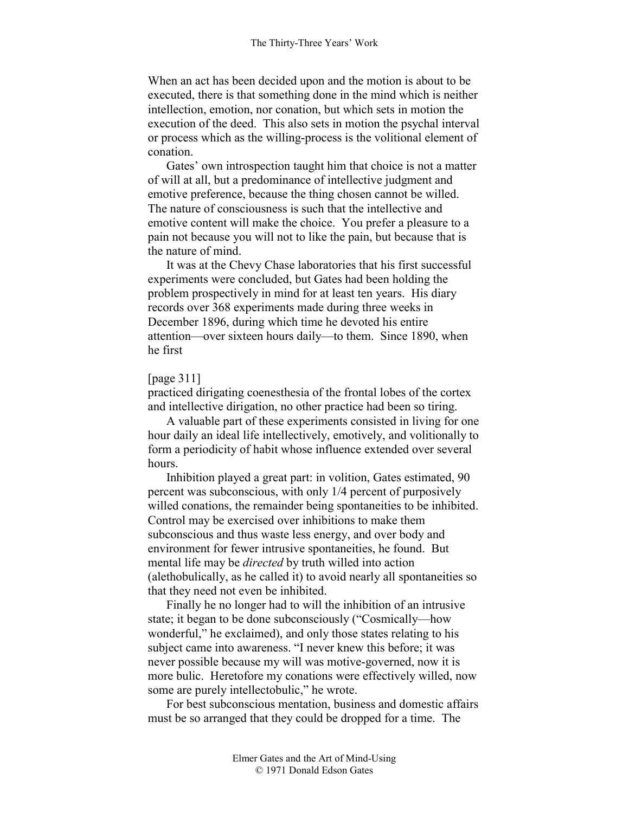When an act has been decided upon and the motion is about to be executed, there is that something done in the mind which is neither intellection, emotion, nor conation, but which sets in motion the execution of the deed. This also sets in motion the psychal interval or process which as the willing-process is the volitional element of conation.

Gates' own introspection taught him that choice is not a matter of will at all, but a predominance of intellective judgment and emotive preference, because the thing chosen cannot be willed. The nature of consciousness is such that the intellective and emotive content will make the choice. You prefer a pleasure to a pain not because you will not to like the pain, but because that is the nature of mind.

It was at the Chevy Chase laboratories that his first successful experiments were concluded, but Gates had been holding the problem prospectively in mind for at least ten years. His diary records over 368 experiments made during three weeks in December 1896, during which time he devoted his entire attention—over sixteen hours daily—to them. Since 1890, when he first

## [page 311]

practiced dirigating coenesthesia of the frontal lobes of the cortex and intellective dirigation, no other practice had been so tiring.

A valuable part of these experiments consisted in living for one hour daily an ideal life intellectively, emotively, and volitionally to form a periodicity of habit whose influence extended over several hours.

Inhibition played a great part: in volition, Gates estimated, 90 percent was subconscious, with only 1/4 percent of purposively willed conations, the remainder being spontaneities to be inhibited. Control may be exercised over inhibitions to make them subconscious and thus waste less energy, and over body and environment for fewer intrusive spontaneities, he found. But mental life may be *directed* by truth willed into action (alethobulically, as he called it) to avoid nearly all spontaneities so that they need not even be inhibited.

Finally he no longer had to will the inhibition of an intrusive state; it began to be done subconsciously ("Cosmically—how wonderful," he exclaimed), and only those states relating to his subject came into awareness. "I never knew this before; it was never possible because my will was motive-governed, now it is more bulic. Heretofore my conations were effectively willed, now some are purely intellectobulic," he wrote.

For best subconscious mentation, business and domestic affairs must be so arranged that they could be dropped for a time. The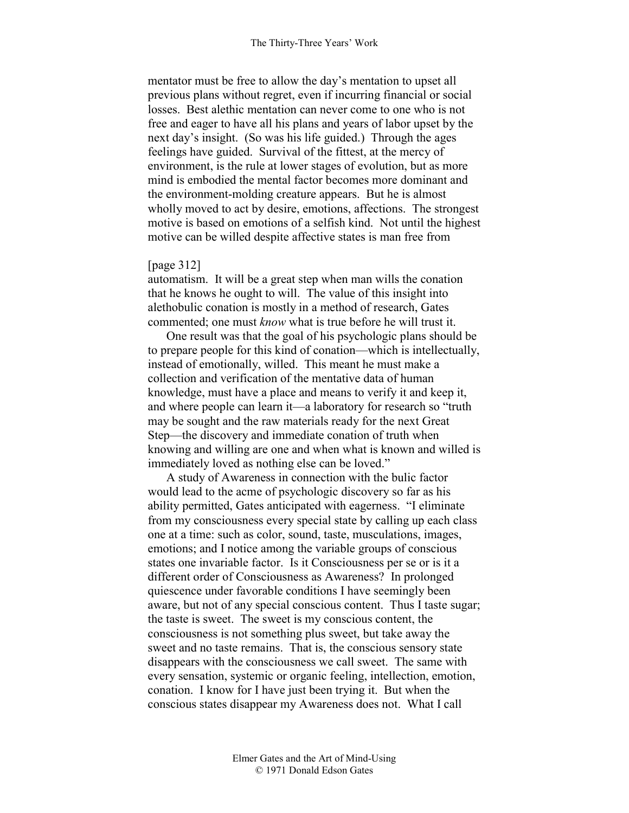mentator must be free to allow the day's mentation to upset all previous plans without regret, even if incurring financial or social losses. Best alethic mentation can never come to one who is not free and eager to have all his plans and years of labor upset by the next day's insight. (So was his life guided.) Through the ages feelings have guided. Survival of the fittest, at the mercy of environment, is the rule at lower stages of evolution, but as more mind is embodied the mental factor becomes more dominant and the environment-molding creature appears. But he is almost wholly moved to act by desire, emotions, affections. The strongest motive is based on emotions of a selfish kind. Not until the highest motive can be willed despite affective states is man free from

## [page 312]

automatism. It will be a great step when man wills the conation that he knows he ought to will. The value of this insight into alethobulic conation is mostly in a method of research, Gates commented; one must *know* what is true before he will trust it.

One result was that the goal of his psychologic plans should be to prepare people for this kind of conation—which is intellectually, instead of emotionally, willed. This meant he must make a collection and verification of the mentative data of human knowledge, must have a place and means to verify it and keep it, and where people can learn it—a laboratory for research so "truth may be sought and the raw materials ready for the next Great Step—the discovery and immediate conation of truth when knowing and willing are one and when what is known and willed is immediately loved as nothing else can be loved."

A study of Awareness in connection with the bulic factor would lead to the acme of psychologic discovery so far as his ability permitted, Gates anticipated with eagerness. "I eliminate from my consciousness every special state by calling up each class one at a time: such as color, sound, taste, musculations, images, emotions; and I notice among the variable groups of conscious states one invariable factor. Is it Consciousness per se or is it a different order of Consciousness as Awareness? In prolonged quiescence under favorable conditions I have seemingly been aware, but not of any special conscious content. Thus I taste sugar; the taste is sweet. The sweet is my conscious content, the consciousness is not something plus sweet, but take away the sweet and no taste remains. That is, the conscious sensory state disappears with the consciousness we call sweet. The same with every sensation, systemic or organic feeling, intellection, emotion, conation. I know for I have just been trying it. But when the conscious states disappear my Awareness does not. What I call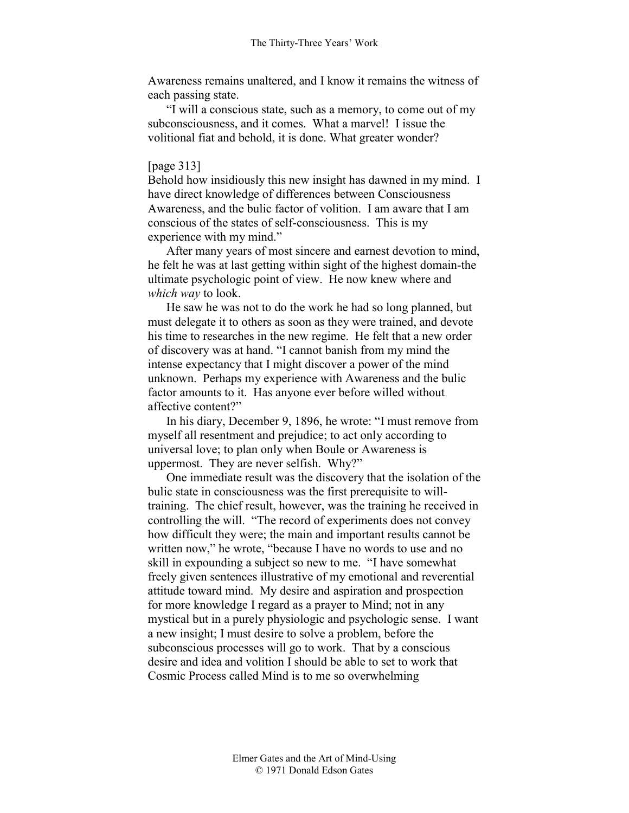Awareness remains unaltered, and I know it remains the witness of each passing state.

"I will a conscious state, such as a memory, to come out of my subconsciousness, and it comes. What a marvel! I issue the volitional fiat and behold, it is done. What greater wonder?

# [page 313]

Behold how insidiously this new insight has dawned in my mind. I have direct knowledge of differences between Consciousness Awareness, and the bulic factor of volition. I am aware that I am conscious of the states of self-consciousness. This is my experience with my mind."

After many years of most sincere and earnest devotion to mind, he felt he was at last getting within sight of the highest domain-the ultimate psychologic point of view. He now knew where and *which way* to look.

He saw he was not to do the work he had so long planned, but must delegate it to others as soon as they were trained, and devote his time to researches in the new regime. He felt that a new order of discovery was at hand. "I cannot banish from my mind the intense expectancy that I might discover a power of the mind unknown. Perhaps my experience with Awareness and the bulic factor amounts to it. Has anyone ever before willed without affective content?"

In his diary, December 9, 1896, he wrote: "I must remove from myself all resentment and prejudice; to act only according to universal love; to plan only when Boule or Awareness is uppermost. They are never selfish. Why?"

One immediate result was the discovery that the isolation of the bulic state in consciousness was the first prerequisite to willtraining. The chief result, however, was the training he received in controlling the will. "The record of experiments does not convey how difficult they were; the main and important results cannot be written now," he wrote, "because I have no words to use and no skill in expounding a subject so new to me. "I have somewhat freely given sentences illustrative of my emotional and reverential attitude toward mind. My desire and aspiration and prospection for more knowledge I regard as a prayer to Mind; not in any mystical but in a purely physiologic and psychologic sense. I want a new insight; I must desire to solve a problem, before the subconscious processes will go to work. That by a conscious desire and idea and volition I should be able to set to work that Cosmic Process called Mind is to me so overwhelming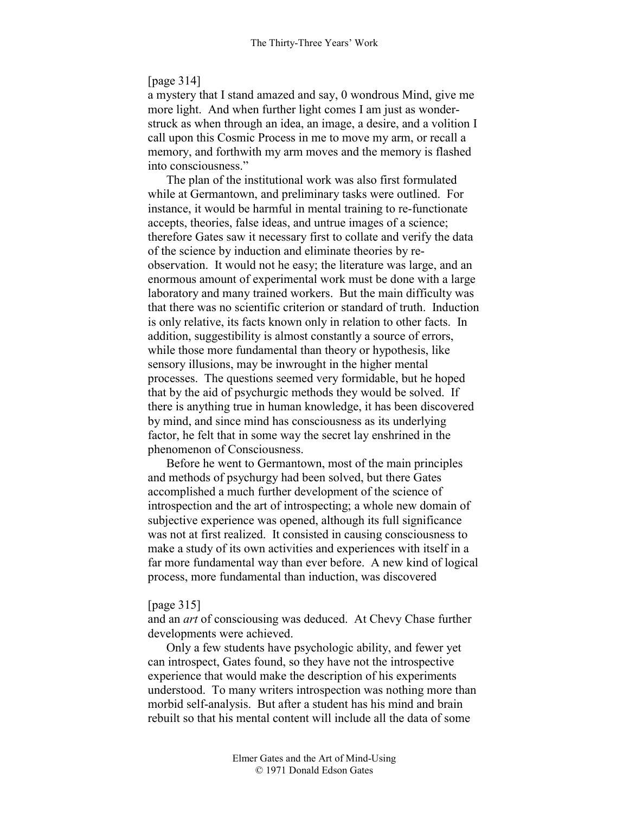## [page 314]

a mystery that I stand amazed and say, 0 wondrous Mind, give me more light. And when further light comes I am just as wonderstruck as when through an idea, an image, a desire, and a volition I call upon this Cosmic Process in me to move my arm, or recall a memory, and forthwith my arm moves and the memory is flashed into consciousness."

The plan of the institutional work was also first formulated while at Germantown, and preliminary tasks were outlined. For instance, it would be harmful in mental training to re-functionate accepts, theories, false ideas, and untrue images of a science; therefore Gates saw it necessary first to collate and verify the data of the science by induction and eliminate theories by reobservation. It would not he easy; the literature was large, and an enormous amount of experimental work must be done with a large laboratory and many trained workers. But the main difficulty was that there was no scientific criterion or standard of truth. Induction is only relative, its facts known only in relation to other facts. In addition, suggestibility is almost constantly a source of errors, while those more fundamental than theory or hypothesis, like sensory illusions, may be inwrought in the higher mental processes. The questions seemed very formidable, but he hoped that by the aid of psychurgic methods they would be solved. If there is anything true in human knowledge, it has been discovered by mind, and since mind has consciousness as its underlying factor, he felt that in some way the secret lay enshrined in the phenomenon of Consciousness.

Before he went to Germantown, most of the main principles and methods of psychurgy had been solved, but there Gates accomplished a much further development of the science of introspection and the art of introspecting; a whole new domain of subjective experience was opened, although its full significance was not at first realized. It consisted in causing consciousness to make a study of its own activities and experiences with itself in a far more fundamental way than ever before. A new kind of logical process, more fundamental than induction, was discovered

#### [page 315]

and an *art* of consciousing was deduced. At Chevy Chase further developments were achieved.

Only a few students have psychologic ability, and fewer yet can introspect, Gates found, so they have not the introspective experience that would make the description of his experiments understood. To many writers introspection was nothing more than morbid self-analysis. But after a student has his mind and brain rebuilt so that his mental content will include all the data of some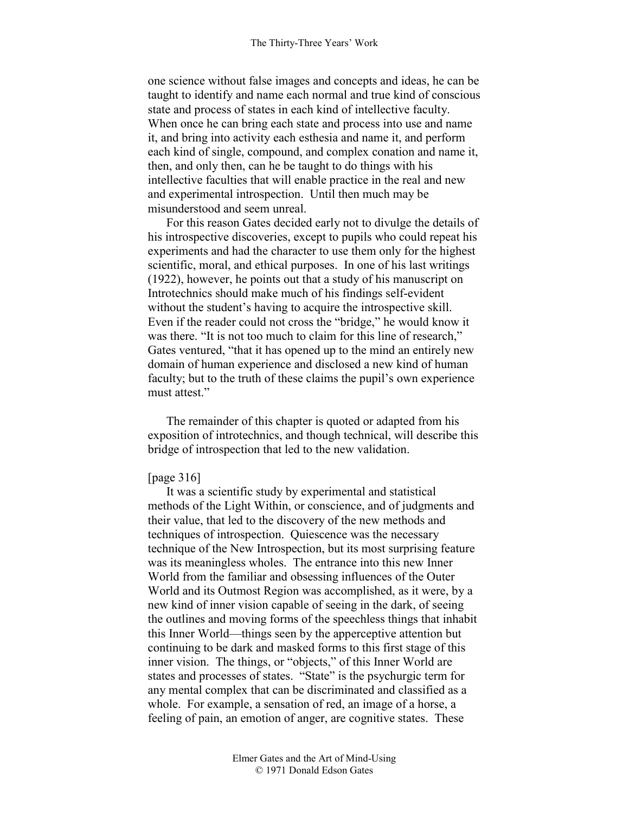one science without false images and concepts and ideas, he can be taught to identify and name each normal and true kind of conscious state and process of states in each kind of intellective faculty. When once he can bring each state and process into use and name it, and bring into activity each esthesia and name it, and perform each kind of single, compound, and complex conation and name it, then, and only then, can he be taught to do things with his intellective faculties that will enable practice in the real and new and experimental introspection. Until then much may be misunderstood and seem unreal.

For this reason Gates decided early not to divulge the details of his introspective discoveries, except to pupils who could repeat his experiments and had the character to use them only for the highest scientific, moral, and ethical purposes. In one of his last writings (1922), however, he points out that a study of his manuscript on Introtechnics should make much of his findings self-evident without the student's having to acquire the introspective skill. Even if the reader could not cross the "bridge," he would know it was there. "It is not too much to claim for this line of research," Gates ventured, "that it has opened up to the mind an entirely new domain of human experience and disclosed a new kind of human faculty; but to the truth of these claims the pupil's own experience must attest."

The remainder of this chapter is quoted or adapted from his exposition of introtechnics, and though technical, will describe this bridge of introspection that led to the new validation.

### [page 316]

It was a scientific study by experimental and statistical methods of the Light Within, or conscience, and of judgments and their value, that led to the discovery of the new methods and techniques of introspection. Quiescence was the necessary technique of the New Introspection, but its most surprising feature was its meaningless wholes. The entrance into this new Inner World from the familiar and obsessing influences of the Outer World and its Outmost Region was accomplished, as it were, by a new kind of inner vision capable of seeing in the dark, of seeing the outlines and moving forms of the speechless things that inhabit this Inner World—things seen by the apperceptive attention but continuing to be dark and masked forms to this first stage of this inner vision. The things, or "objects," of this Inner World are states and processes of states. "State" is the psychurgic term for any mental complex that can be discriminated and classified as a whole. For example, a sensation of red, an image of a horse, a feeling of pain, an emotion of anger, are cognitive states. These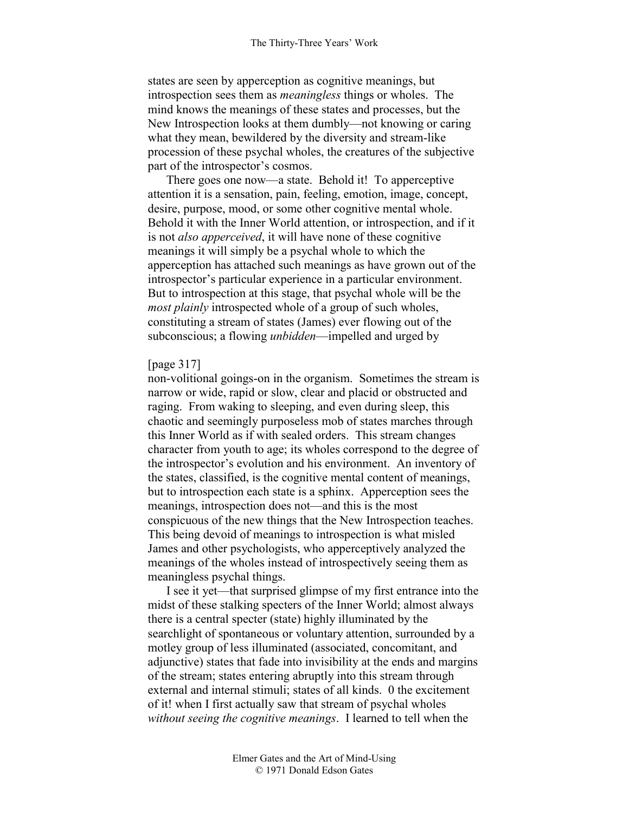states are seen by apperception as cognitive meanings, but introspection sees them as *meaningless* things or wholes. The mind knows the meanings of these states and processes, but the New Introspection looks at them dumbly—not knowing or caring what they mean, bewildered by the diversity and stream-like procession of these psychal wholes, the creatures of the subjective part of the introspector's cosmos.

There goes one now—a state. Behold it! To apperceptive attention it is a sensation, pain, feeling, emotion, image, concept, desire, purpose, mood, or some other cognitive mental whole. Behold it with the Inner World attention, or introspection, and if it is not *also apperceived*, it will have none of these cognitive meanings it will simply be a psychal whole to which the apperception has attached such meanings as have grown out of the introspector's particular experience in a particular environment. But to introspection at this stage, that psychal whole will be the *most plainly* introspected whole of a group of such wholes, constituting a stream of states (James) ever flowing out of the subconscious; a flowing *unbidden*—impelled and urged by

#### [page 317]

non-volitional goings-on in the organism. Sometimes the stream is narrow or wide, rapid or slow, clear and placid or obstructed and raging. From waking to sleeping, and even during sleep, this chaotic and seemingly purposeless mob of states marches through this Inner World as if with sealed orders. This stream changes character from youth to age; its wholes correspond to the degree of the introspector's evolution and his environment. An inventory of the states, classified, is the cognitive mental content of meanings, but to introspection each state is a sphinx. Apperception sees the meanings, introspection does not—and this is the most conspicuous of the new things that the New Introspection teaches. This being devoid of meanings to introspection is what misled James and other psychologists, who apperceptively analyzed the meanings of the wholes instead of introspectively seeing them as meaningless psychal things.

I see it yet—that surprised glimpse of my first entrance into the midst of these stalking specters of the Inner World; almost always there is a central specter (state) highly illuminated by the searchlight of spontaneous or voluntary attention, surrounded by a motley group of less illuminated (associated, concomitant, and adjunctive) states that fade into invisibility at the ends and margins of the stream; states entering abruptly into this stream through external and internal stimuli; states of all kinds. 0 the excitement of it! when I first actually saw that stream of psychal wholes *without seeing the cognitive meanings*. I learned to tell when the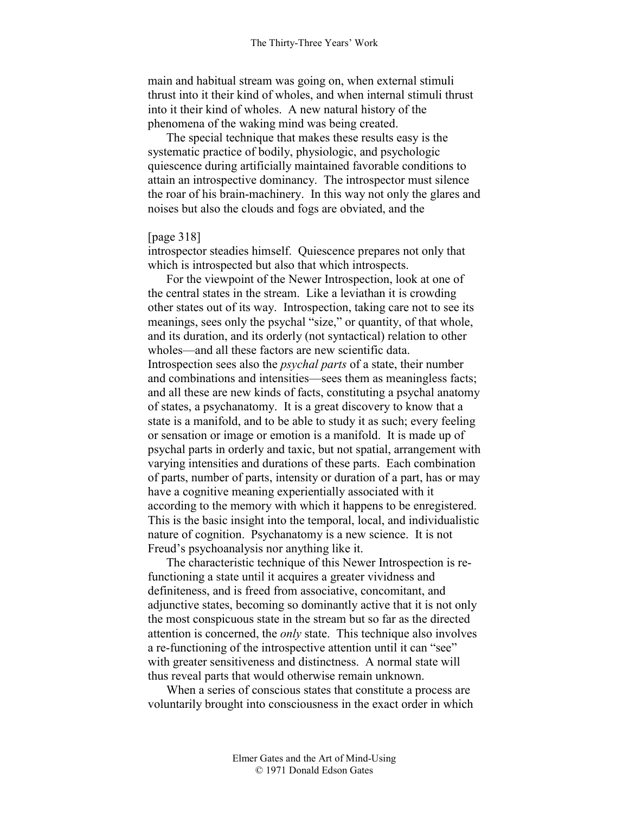main and habitual stream was going on, when external stimuli thrust into it their kind of wholes, and when internal stimuli thrust into it their kind of wholes. A new natural history of the phenomena of the waking mind was being created.

The special technique that makes these results easy is the systematic practice of bodily, physiologic, and psychologic quiescence during artificially maintained favorable conditions to attain an introspective dominancy. The introspector must silence the roar of his brain-machinery. In this way not only the glares and noises but also the clouds and fogs are obviated, and the

#### [page 318]

introspector steadies himself. Quiescence prepares not only that which is introspected but also that which introspects.

For the viewpoint of the Newer Introspection, look at one of the central states in the stream. Like a leviathan it is crowding other states out of its way. Introspection, taking care not to see its meanings, sees only the psychal "size," or quantity, of that whole, and its duration, and its orderly (not syntactical) relation to other wholes—and all these factors are new scientific data. Introspection sees also the *psychal parts* of a state, their number and combinations and intensities—sees them as meaningless facts; and all these are new kinds of facts, constituting a psychal anatomy of states, a psychanatomy. It is a great discovery to know that a state is a manifold, and to be able to study it as such; every feeling or sensation or image or emotion is a manifold. It is made up of psychal parts in orderly and taxic, but not spatial, arrangement with varying intensities and durations of these parts. Each combination of parts, number of parts, intensity or duration of a part, has or may have a cognitive meaning experientially associated with it according to the memory with which it happens to be enregistered. This is the basic insight into the temporal, local, and individualistic nature of cognition. Psychanatomy is a new science. It is not Freud's psychoanalysis nor anything like it.

The characteristic technique of this Newer Introspection is refunctioning a state until it acquires a greater vividness and definiteness, and is freed from associative, concomitant, and adjunctive states, becoming so dominantly active that it is not only the most conspicuous state in the stream but so far as the directed attention is concerned, the *only* state. This technique also involves a re-functioning of the introspective attention until it can "see" with greater sensitiveness and distinctness. A normal state will thus reveal parts that would otherwise remain unknown.

When a series of conscious states that constitute a process are voluntarily brought into consciousness in the exact order in which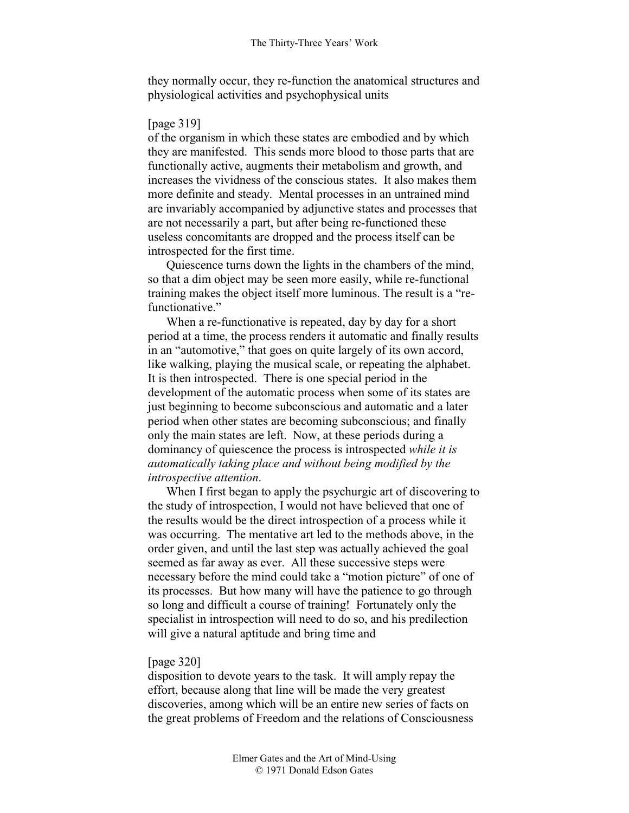they normally occur, they re-function the anatomical structures and physiological activities and psychophysical units

# [page 319]

of the organism in which these states are embodied and by which they are manifested. This sends more blood to those parts that are functionally active, augments their metabolism and growth, and increases the vividness of the conscious states. It also makes them more definite and steady. Mental processes in an untrained mind are invariably accompanied by adjunctive states and processes that are not necessarily a part, but after being re-functioned these useless concomitants are dropped and the process itself can be introspected for the first time.

Quiescence turns down the lights in the chambers of the mind, so that a dim object may be seen more easily, while re-functional training makes the object itself more luminous. The result is a "refunctionative."

When a re-functionative is repeated, day by day for a short period at a time, the process renders it automatic and finally results in an "automotive," that goes on quite largely of its own accord, like walking, playing the musical scale, or repeating the alphabet. It is then introspected. There is one special period in the development of the automatic process when some of its states are just beginning to become subconscious and automatic and a later period when other states are becoming subconscious; and finally only the main states are left. Now, at these periods during a dominancy of quiescence the process is introspected *while it is automatically taking place and without being modified by the introspective attention*.

When I first began to apply the psychurgic art of discovering to the study of introspection, I would not have believed that one of the results would be the direct introspection of a process while it was occurring. The mentative art led to the methods above, in the order given, and until the last step was actually achieved the goal seemed as far away as ever. All these successive steps were necessary before the mind could take a "motion picture" of one of its processes. But how many will have the patience to go through so long and difficult a course of training! Fortunately only the specialist in introspection will need to do so, and his predilection will give a natural aptitude and bring time and

# [page 320]

disposition to devote years to the task. It will amply repay the effort, because along that line will be made the very greatest discoveries, among which will be an entire new series of facts on the great problems of Freedom and the relations of Consciousness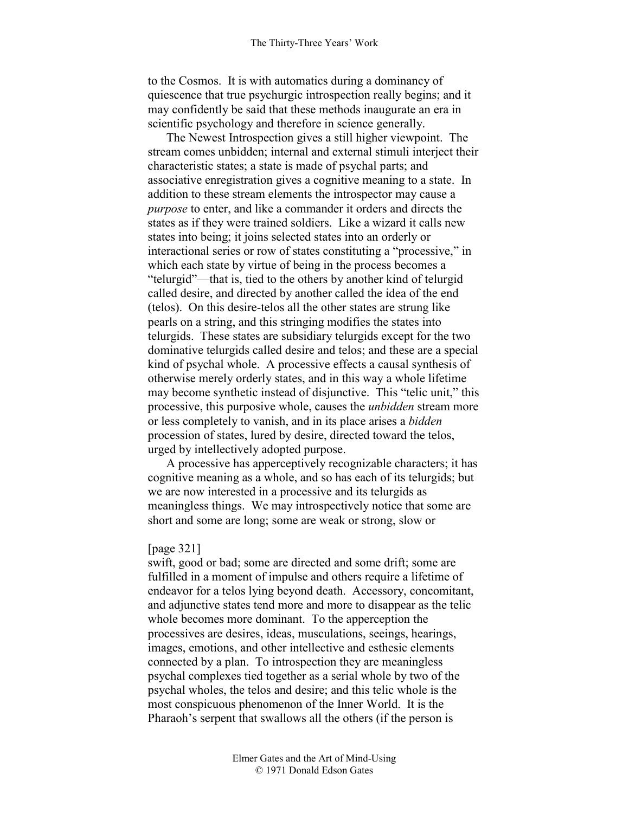to the Cosmos. It is with automatics during a dominancy of quiescence that true psychurgic introspection really begins; and it may confidently be said that these methods inaugurate an era in scientific psychology and therefore in science generally.

The Newest Introspection gives a still higher viewpoint. The stream comes unbidden; internal and external stimuli interject their characteristic states; a state is made of psychal parts; and associative enregistration gives a cognitive meaning to a state. In addition to these stream elements the introspector may cause a *purpose* to enter, and like a commander it orders and directs the states as if they were trained soldiers. Like a wizard it calls new states into being; it joins selected states into an orderly or interactional series or row of states constituting a "processive," in which each state by virtue of being in the process becomes a "telurgid"—that is, tied to the others by another kind of telurgid called desire, and directed by another called the idea of the end (telos). On this desire-telos all the other states are strung like pearls on a string, and this stringing modifies the states into telurgids. These states are subsidiary telurgids except for the two dominative telurgids called desire and telos; and these are a special kind of psychal whole. A processive effects a causal synthesis of otherwise merely orderly states, and in this way a whole lifetime may become synthetic instead of disjunctive. This "telic unit," this processive, this purposive whole, causes the *unbidden* stream more or less completely to vanish, and in its place arises a *bidden* procession of states, lured by desire, directed toward the telos, urged by intellectively adopted purpose.

A processive has apperceptively recognizable characters; it has cognitive meaning as a whole, and so has each of its telurgids; but we are now interested in a processive and its telurgids as meaningless things. We may introspectively notice that some are short and some are long; some are weak or strong, slow or

## [page 321]

swift, good or bad; some are directed and some drift; some are fulfilled in a moment of impulse and others require a lifetime of endeavor for a telos lying beyond death. Accessory, concomitant, and adjunctive states tend more and more to disappear as the telic whole becomes more dominant. To the apperception the processives are desires, ideas, musculations, seeings, hearings, images, emotions, and other intellective and esthesic elements connected by a plan. To introspection they are meaningless psychal complexes tied together as a serial whole by two of the psychal wholes, the telos and desire; and this telic whole is the most conspicuous phenomenon of the Inner World. It is the Pharaoh's serpent that swallows all the others (if the person is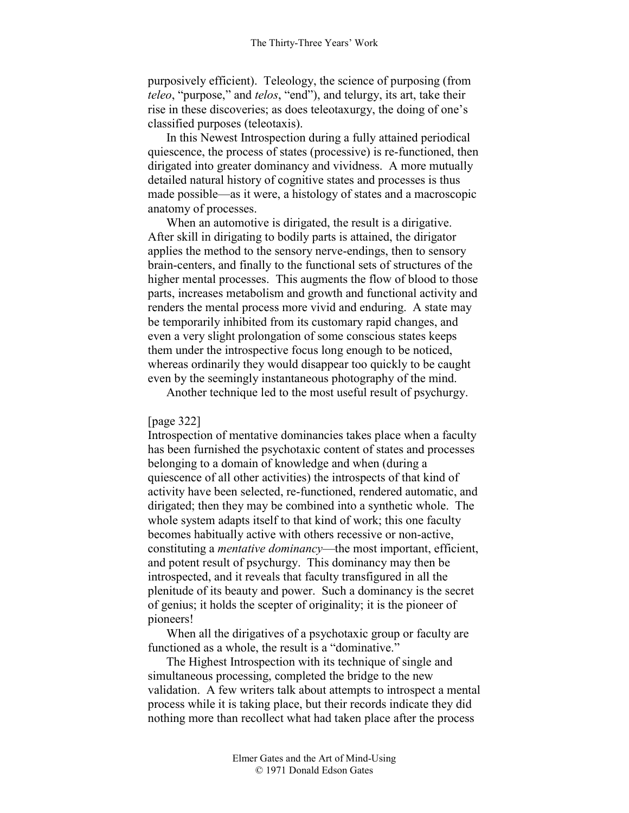purposively efficient). Teleology, the science of purposing (from *teleo*, "purpose," and *telos*, "end"), and telurgy, its art, take their rise in these discoveries; as does teleotaxurgy, the doing of one's classified purposes (teleotaxis).

In this Newest Introspection during a fully attained periodical quiescence, the process of states (processive) is re-functioned, then dirigated into greater dominancy and vividness. A more mutually detailed natural history of cognitive states and processes is thus made possible—as it were, a histology of states and a macroscopic anatomy of processes.

When an automotive is dirigated, the result is a dirigative. After skill in dirigating to bodily parts is attained, the dirigator applies the method to the sensory nerve-endings, then to sensory brain-centers, and finally to the functional sets of structures of the higher mental processes. This augments the flow of blood to those parts, increases metabolism and growth and functional activity and renders the mental process more vivid and enduring. A state may be temporarily inhibited from its customary rapid changes, and even a very slight prolongation of some conscious states keeps them under the introspective focus long enough to be noticed, whereas ordinarily they would disappear too quickly to be caught even by the seemingly instantaneous photography of the mind.

Another technique led to the most useful result of psychurgy.

#### [page 322]

Introspection of mentative dominancies takes place when a faculty has been furnished the psychotaxic content of states and processes belonging to a domain of knowledge and when (during a quiescence of all other activities) the introspects of that kind of activity have been selected, re-functioned, rendered automatic, and dirigated; then they may be combined into a synthetic whole. The whole system adapts itself to that kind of work; this one faculty becomes habitually active with others recessive or non-active, constituting a *mentative dominancy*—the most important, efficient, and potent result of psychurgy. This dominancy may then be introspected, and it reveals that faculty transfigured in all the plenitude of its beauty and power. Such a dominancy is the secret of genius; it holds the scepter of originality; it is the pioneer of pioneers!

When all the dirigatives of a psychotaxic group or faculty are functioned as a whole, the result is a "dominative."

The Highest Introspection with its technique of single and simultaneous processing, completed the bridge to the new validation. A few writers talk about attempts to introspect a mental process while it is taking place, but their records indicate they did nothing more than recollect what had taken place after the process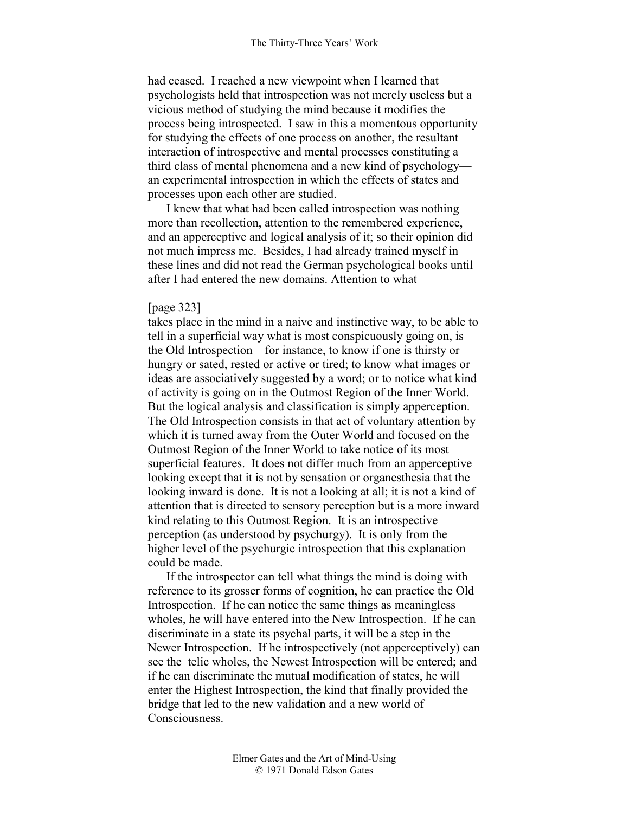had ceased. I reached a new viewpoint when I learned that psychologists held that introspection was not merely useless but a vicious method of studying the mind because it modifies the process being introspected. I saw in this a momentous opportunity for studying the effects of one process on another, the resultant interaction of introspective and mental processes constituting a third class of mental phenomena and a new kind of psychology an experimental introspection in which the effects of states and processes upon each other are studied.

I knew that what had been called introspection was nothing more than recollection, attention to the remembered experience, and an apperceptive and logical analysis of it; so their opinion did not much impress me. Besides, I had already trained myself in these lines and did not read the German psychological books until after I had entered the new domains. Attention to what

#### [page 323]

takes place in the mind in a naive and instinctive way, to be able to tell in a superficial way what is most conspicuously going on, is the Old Introspection—for instance, to know if one is thirsty or hungry or sated, rested or active or tired; to know what images or ideas are associatively suggested by a word; or to notice what kind of activity is going on in the Outmost Region of the Inner World. But the logical analysis and classification is simply apperception. The Old Introspection consists in that act of voluntary attention by which it is turned away from the Outer World and focused on the Outmost Region of the Inner World to take notice of its most superficial features. It does not differ much from an apperceptive looking except that it is not by sensation or organesthesia that the looking inward is done. It is not a looking at all; it is not a kind of attention that is directed to sensory perception but is a more inward kind relating to this Outmost Region. It is an introspective perception (as understood by psychurgy). It is only from the higher level of the psychurgic introspection that this explanation could be made.

If the introspector can tell what things the mind is doing with reference to its grosser forms of cognition, he can practice the Old Introspection. If he can notice the same things as meaningless wholes, he will have entered into the New Introspection. If he can discriminate in a state its psychal parts, it will be a step in the Newer Introspection. If he introspectively (not apperceptively) can see the telic wholes, the Newest Introspection will be entered; and if he can discriminate the mutual modification of states, he will enter the Highest Introspection, the kind that finally provided the bridge that led to the new validation and a new world of Consciousness.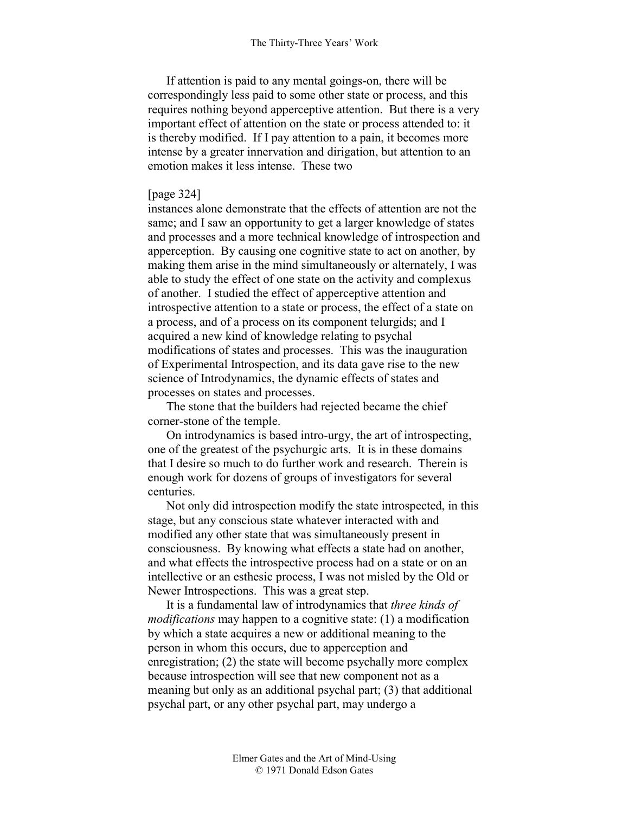If attention is paid to any mental goings-on, there will be correspondingly less paid to some other state or process, and this requires nothing beyond apperceptive attention. But there is a very important effect of attention on the state or process attended to: it is thereby modified. If I pay attention to a pain, it becomes more intense by a greater innervation and dirigation, but attention to an emotion makes it less intense. These two

# [page 324]

instances alone demonstrate that the effects of attention are not the same; and I saw an opportunity to get a larger knowledge of states and processes and a more technical knowledge of introspection and apperception. By causing one cognitive state to act on another, by making them arise in the mind simultaneously or alternately, I was able to study the effect of one state on the activity and complexus of another. I studied the effect of apperceptive attention and introspective attention to a state or process, the effect of a state on a process, and of a process on its component telurgids; and I acquired a new kind of knowledge relating to psychal modifications of states and processes. This was the inauguration of Experimental Introspection, and its data gave rise to the new science of Introdynamics, the dynamic effects of states and processes on states and processes.

The stone that the builders had rejected became the chief corner-stone of the temple.

On introdynamics is based intro-urgy, the art of introspecting, one of the greatest of the psychurgic arts. It is in these domains that I desire so much to do further work and research. Therein is enough work for dozens of groups of investigators for several centuries.

Not only did introspection modify the state introspected, in this stage, but any conscious state whatever interacted with and modified any other state that was simultaneously present in consciousness. By knowing what effects a state had on another, and what effects the introspective process had on a state or on an intellective or an esthesic process, I was not misled by the Old or Newer Introspections. This was a great step.

It is a fundamental law of introdynamics that *three kinds of modifications* may happen to a cognitive state: (1) a modification by which a state acquires a new or additional meaning to the person in whom this occurs, due to apperception and enregistration; (2) the state will become psychally more complex because introspection will see that new component not as a meaning but only as an additional psychal part; (3) that additional psychal part, or any other psychal part, may undergo a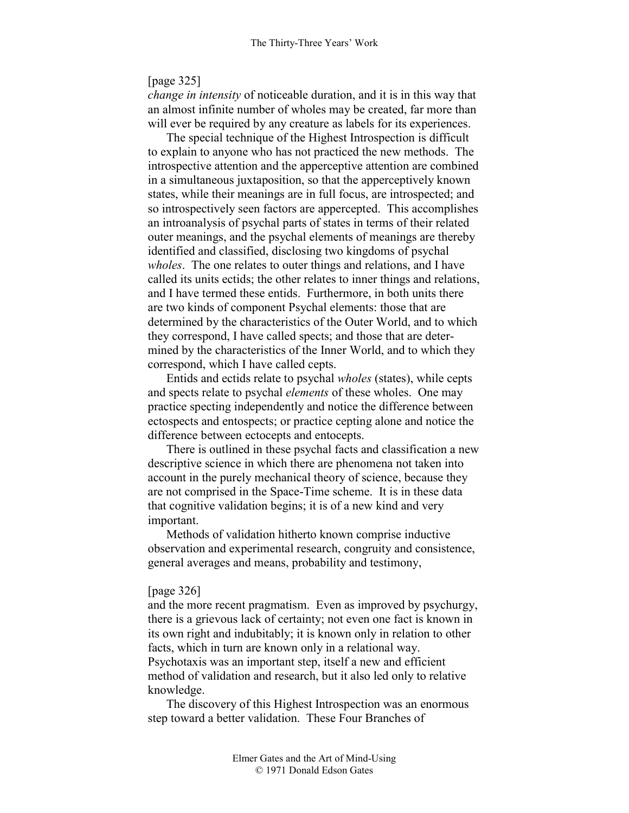### [page 325]

*change in intensity* of noticeable duration, and it is in this way that an almost infinite number of wholes may be created, far more than will ever be required by any creature as labels for its experiences.

The special technique of the Highest Introspection is difficult to explain to anyone who has not practiced the new methods. The introspective attention and the apperceptive attention are combined in a simultaneous juxtaposition, so that the apperceptively known states, while their meanings are in full focus, are introspected; and so introspectively seen factors are appercepted. This accomplishes an introanalysis of psychal parts of states in terms of their related outer meanings, and the psychal elements of meanings are thereby identified and classified, disclosing two kingdoms of psychal *wholes*. The one relates to outer things and relations, and I have called its units ectids; the other relates to inner things and relations, and I have termed these entids. Furthermore, in both units there are two kinds of component Psychal elements: those that are determined by the characteristics of the Outer World, and to which they correspond, I have called spects; and those that are determined by the characteristics of the Inner World, and to which they correspond, which I have called cepts.

Entids and ectids relate to psychal *wholes* (states), while cepts and spects relate to psychal *elements* of these wholes. One may practice specting independently and notice the difference between ectospects and entospects; or practice cepting alone and notice the difference between ectocepts and entocepts.

There is outlined in these psychal facts and classification a new descriptive science in which there are phenomena not taken into account in the purely mechanical theory of science, because they are not comprised in the Space-Time scheme. It is in these data that cognitive validation begins; it is of a new kind and very important.

Methods of validation hitherto known comprise inductive observation and experimental research, congruity and consistence, general averages and means, probability and testimony,

#### [page 326]

and the more recent pragmatism. Even as improved by psychurgy, there is a grievous lack of certainty; not even one fact is known in its own right and indubitably; it is known only in relation to other facts, which in turn are known only in a relational way. Psychotaxis was an important step, itself a new and efficient method of validation and research, but it also led only to relative knowledge.

The discovery of this Highest Introspection was an enormous step toward a better validation. These Four Branches of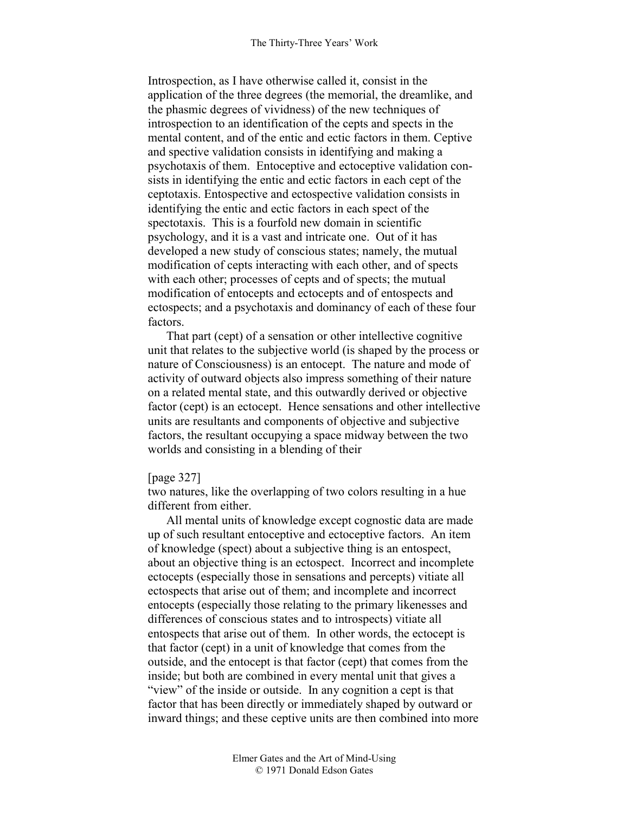Introspection, as I have otherwise called it, consist in the application of the three degrees (the memorial, the dreamlike, and the phasmic degrees of vividness) of the new techniques of introspection to an identification of the cepts and spects in the mental content, and of the entic and ectic factors in them. Ceptive and spective validation consists in identifying and making a psychotaxis of them. Entoceptive and ectoceptive validation consists in identifying the entic and ectic factors in each cept of the ceptotaxis. Entospective and ectospective validation consists in identifying the entic and ectic factors in each spect of the spectotaxis. This is a fourfold new domain in scientific psychology, and it is a vast and intricate one. Out of it has developed a new study of conscious states; namely, the mutual modification of cepts interacting with each other, and of spects with each other; processes of cepts and of spects; the mutual modification of entocepts and ectocepts and of entospects and ectospects; and a psychotaxis and dominancy of each of these four factors.

That part (cept) of a sensation or other intellective cognitive unit that relates to the subjective world (is shaped by the process or nature of Consciousness) is an entocept. The nature and mode of activity of outward objects also impress something of their nature on a related mental state, and this outwardly derived or objective factor (cept) is an ectocept. Hence sensations and other intellective units are resultants and components of objective and subjective factors, the resultant occupying a space midway between the two worlds and consisting in a blending of their

### [page 327]

two natures, like the overlapping of two colors resulting in a hue different from either.

All mental units of knowledge except cognostic data are made up of such resultant entoceptive and ectoceptive factors. An item of knowledge (spect) about a subjective thing is an entospect, about an objective thing is an ectospect. Incorrect and incomplete ectocepts (especially those in sensations and percepts) vitiate all ectospects that arise out of them; and incomplete and incorrect entocepts (especially those relating to the primary likenesses and differences of conscious states and to introspects) vitiate all entospects that arise out of them. In other words, the ectocept is that factor (cept) in a unit of knowledge that comes from the outside, and the entocept is that factor (cept) that comes from the inside; but both are combined in every mental unit that gives a "view" of the inside or outside. In any cognition a cept is that factor that has been directly or immediately shaped by outward or inward things; and these ceptive units are then combined into more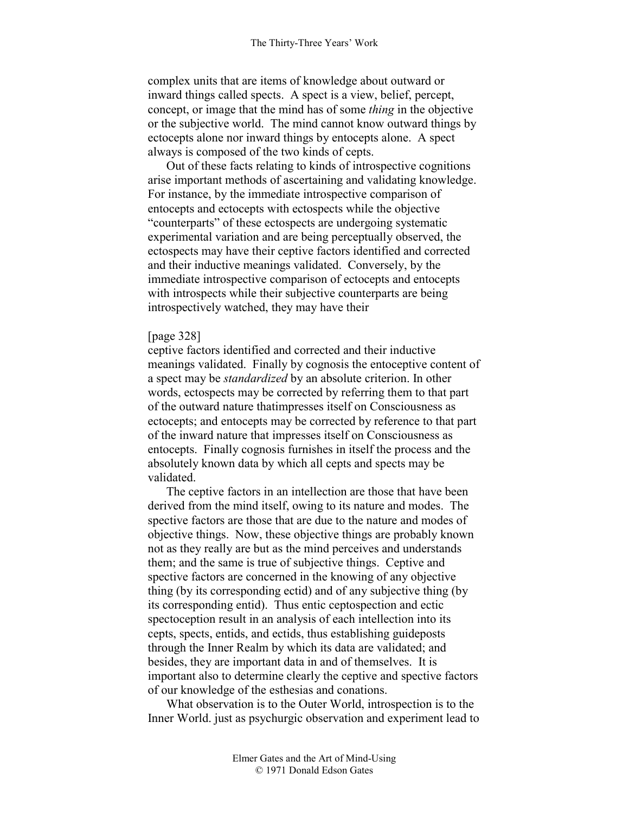complex units that are items of knowledge about outward or inward things called spects. A spect is a view, belief, percept, concept, or image that the mind has of some *thing* in the objective or the subjective world. The mind cannot know outward things by ectocepts alone nor inward things by entocepts alone. A spect always is composed of the two kinds of cepts.

Out of these facts relating to kinds of introspective cognitions arise important methods of ascertaining and validating knowledge. For instance, by the immediate introspective comparison of entocepts and ectocepts with ectospects while the objective "counterparts" of these ectospects are undergoing systematic experimental variation and are being perceptually observed, the ectospects may have their ceptive factors identified and corrected and their inductive meanings validated. Conversely, by the immediate introspective comparison of ectocepts and entocepts with introspects while their subjective counterparts are being introspectively watched, they may have their

## [page 328]

ceptive factors identified and corrected and their inductive meanings validated. Finally by cognosis the entoceptive content of a spect may be *standardized* by an absolute criterion. In other words, ectospects may be corrected by referring them to that part of the outward nature thatimpresses itself on Consciousness as ectocepts; and entocepts may be corrected by reference to that part of the inward nature that impresses itself on Consciousness as entocepts. Finally cognosis furnishes in itself the process and the absolutely known data by which all cepts and spects may be validated.

The ceptive factors in an intellection are those that have been derived from the mind itself, owing to its nature and modes. The spective factors are those that are due to the nature and modes of objective things. Now, these objective things are probably known not as they really are but as the mind perceives and understands them; and the same is true of subjective things. Ceptive and spective factors are concerned in the knowing of any objective thing (by its corresponding ectid) and of any subjective thing (by its corresponding entid). Thus entic ceptospection and ectic spectoception result in an analysis of each intellection into its cepts, spects, entids, and ectids, thus establishing guideposts through the Inner Realm by which its data are validated; and besides, they are important data in and of themselves. It is important also to determine clearly the ceptive and spective factors of our knowledge of the esthesias and conations.

What observation is to the Outer World, introspection is to the Inner World. just as psychurgic observation and experiment lead to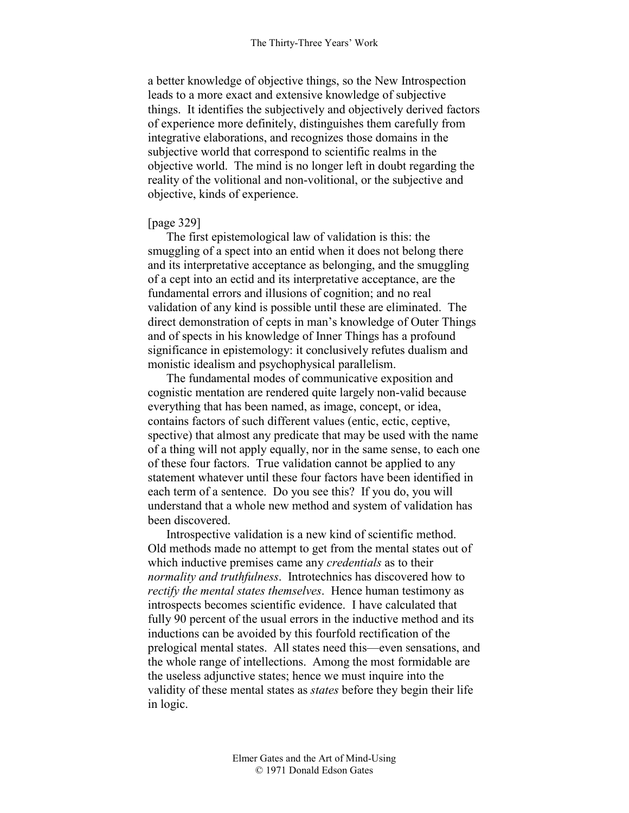a better knowledge of objective things, so the New Introspection leads to a more exact and extensive knowledge of subjective things. It identifies the subjectively and objectively derived factors of experience more definitely, distinguishes them carefully from integrative elaborations, and recognizes those domains in the subjective world that correspond to scientific realms in the objective world. The mind is no longer left in doubt regarding the reality of the volitional and non-volitional, or the subjective and objective, kinds of experience.

## [page 329]

The first epistemological law of validation is this: the smuggling of a spect into an entid when it does not belong there and its interpretative acceptance as belonging, and the smuggling of a cept into an ectid and its interpretative acceptance, are the fundamental errors and illusions of cognition; and no real validation of any kind is possible until these are eliminated. The direct demonstration of cepts in man's knowledge of Outer Things and of spects in his knowledge of Inner Things has a profound significance in epistemology: it conclusively refutes dualism and monistic idealism and psychophysical parallelism.

The fundamental modes of communicative exposition and cognistic mentation are rendered quite largely non-valid because everything that has been named, as image, concept, or idea, contains factors of such different values (entic, ectic, ceptive, spective) that almost any predicate that may be used with the name of a thing will not apply equally, nor in the same sense, to each one of these four factors. True validation cannot be applied to any statement whatever until these four factors have been identified in each term of a sentence. Do you see this? If you do, you will understand that a whole new method and system of validation has been discovered.

Introspective validation is a new kind of scientific method. Old methods made no attempt to get from the mental states out of which inductive premises came any *credentials* as to their *normality and truthfulness*. Introtechnics has discovered how to *rectify the mental states themselves*. Hence human testimony as introspects becomes scientific evidence. I have calculated that fully 90 percent of the usual errors in the inductive method and its inductions can be avoided by this fourfold rectification of the prelogical mental states. All states need this—even sensations, and the whole range of intellections. Among the most formidable are the useless adjunctive states; hence we must inquire into the validity of these mental states as *states* before they begin their life in logic.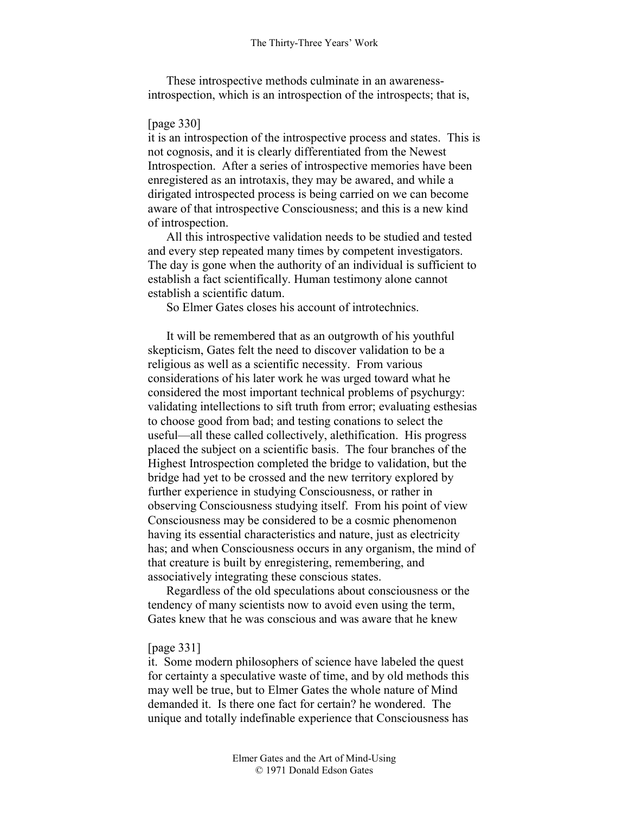These introspective methods culminate in an awarenessintrospection, which is an introspection of the introspects; that is,

## [page 330]

it is an introspection of the introspective process and states. This is not cognosis, and it is clearly differentiated from the Newest Introspection. After a series of introspective memories have been enregistered as an introtaxis, they may be awared, and while a dirigated introspected process is being carried on we can become aware of that introspective Consciousness; and this is a new kind of introspection.

All this introspective validation needs to be studied and tested and every step repeated many times by competent investigators. The day is gone when the authority of an individual is sufficient to establish a fact scientifically. Human testimony alone cannot establish a scientific datum.

So Elmer Gates closes his account of introtechnics.

It will be remembered that as an outgrowth of his youthful skepticism, Gates felt the need to discover validation to be a religious as well as a scientific necessity. From various considerations of his later work he was urged toward what he considered the most important technical problems of psychurgy: validating intellections to sift truth from error; evaluating esthesias to choose good from bad; and testing conations to select the useful—all these called collectively, alethification. His progress placed the subject on a scientific basis. The four branches of the Highest Introspection completed the bridge to validation, but the bridge had yet to be crossed and the new territory explored by further experience in studying Consciousness, or rather in observing Consciousness studying itself. From his point of view Consciousness may be considered to be a cosmic phenomenon having its essential characteristics and nature, just as electricity has; and when Consciousness occurs in any organism, the mind of that creature is built by enregistering, remembering, and associatively integrating these conscious states.

Regardless of the old speculations about consciousness or the tendency of many scientists now to avoid even using the term, Gates knew that he was conscious and was aware that he knew

## [page 331]

it. Some modern philosophers of science have labeled the quest for certainty a speculative waste of time, and by old methods this may well be true, but to Elmer Gates the whole nature of Mind demanded it. Is there one fact for certain? he wondered. The unique and totally indefinable experience that Consciousness has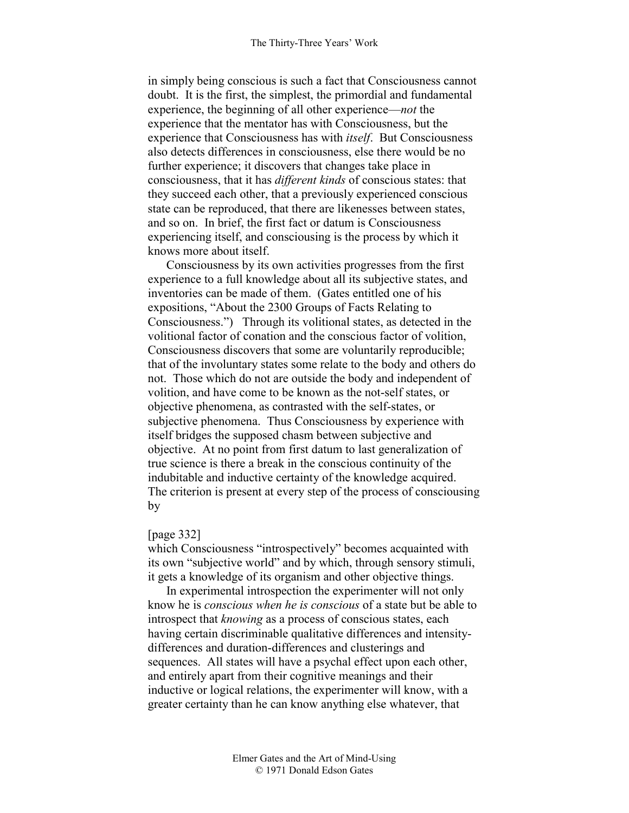in simply being conscious is such a fact that Consciousness cannot doubt. It is the first, the simplest, the primordial and fundamental experience, the beginning of all other experience—*not* the experience that the mentator has with Consciousness, but the experience that Consciousness has with *itself*. But Consciousness also detects differences in consciousness, else there would be no further experience; it discovers that changes take place in consciousness, that it has *different kinds* of conscious states: that they succeed each other, that a previously experienced conscious state can be reproduced, that there are likenesses between states, and so on. In brief, the first fact or datum is Consciousness experiencing itself, and consciousing is the process by which it knows more about itself.

Consciousness by its own activities progresses from the first experience to a full knowledge about all its subjective states, and inventories can be made of them. (Gates entitled one of his expositions, "About the 2300 Groups of Facts Relating to Consciousness.") Through its volitional states, as detected in the volitional factor of conation and the conscious factor of volition, Consciousness discovers that some are voluntarily reproducible; that of the involuntary states some relate to the body and others do not. Those which do not are outside the body and independent of volition, and have come to be known as the not-self states, or objective phenomena, as contrasted with the self-states, or subjective phenomena. Thus Consciousness by experience with itself bridges the supposed chasm between subjective and objective. At no point from first datum to last generalization of true science is there a break in the conscious continuity of the indubitable and inductive certainty of the knowledge acquired. The criterion is present at every step of the process of consciousing by

#### [page 332]

which Consciousness "introspectively" becomes acquainted with its own "subjective world" and by which, through sensory stimuli, it gets a knowledge of its organism and other objective things.

In experimental introspection the experimenter will not only know he is *conscious when he is conscious* of a state but be able to introspect that *knowing* as a process of conscious states, each having certain discriminable qualitative differences and intensitydifferences and duration-differences and clusterings and sequences. All states will have a psychal effect upon each other, and entirely apart from their cognitive meanings and their inductive or logical relations, the experimenter will know, with a greater certainty than he can know anything else whatever, that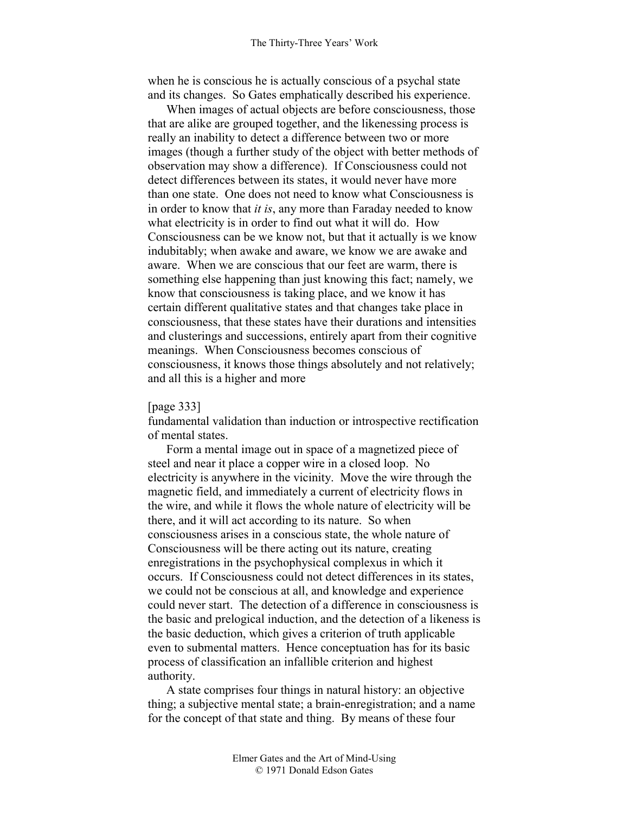when he is conscious he is actually conscious of a psychal state and its changes. So Gates emphatically described his experience.

When images of actual objects are before consciousness, those that are alike are grouped together, and the likenessing process is really an inability to detect a difference between two or more images (though a further study of the object with better methods of observation may show a difference). If Consciousness could not detect differences between its states, it would never have more than one state. One does not need to know what Consciousness is in order to know that *it is*, any more than Faraday needed to know what electricity is in order to find out what it will do. How Consciousness can be we know not, but that it actually is we know indubitably; when awake and aware, we know we are awake and aware. When we are conscious that our feet are warm, there is something else happening than just knowing this fact; namely, we know that consciousness is taking place, and we know it has certain different qualitative states and that changes take place in consciousness, that these states have their durations and intensities and clusterings and successions, entirely apart from their cognitive meanings. When Consciousness becomes conscious of consciousness, it knows those things absolutely and not relatively; and all this is a higher and more

#### [page 333]

fundamental validation than induction or introspective rectification of mental states.

Form a mental image out in space of a magnetized piece of steel and near it place a copper wire in a closed loop. No electricity is anywhere in the vicinity. Move the wire through the magnetic field, and immediately a current of electricity flows in the wire, and while it flows the whole nature of electricity will be there, and it will act according to its nature. So when consciousness arises in a conscious state, the whole nature of Consciousness will be there acting out its nature, creating enregistrations in the psychophysical complexus in which it occurs. If Consciousness could not detect differences in its states, we could not be conscious at all, and knowledge and experience could never start. The detection of a difference in consciousness is the basic and prelogical induction, and the detection of a likeness is the basic deduction, which gives a criterion of truth applicable even to submental matters. Hence conceptuation has for its basic process of classification an infallible criterion and highest authority.

A state comprises four things in natural history: an objective thing; a subjective mental state; a brain-enregistration; and a name for the concept of that state and thing. By means of these four